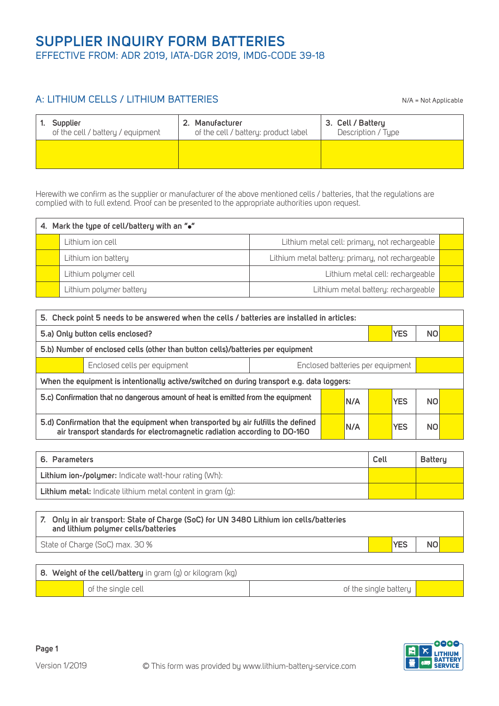## A: LITHIUM CELLS / LITHIUM BATTERIES

N/A = Not Applicable

| Supplier                          |  | 2. Manufacturer                      | 3. Cell / Battery  |
|-----------------------------------|--|--------------------------------------|--------------------|
| of the cell / battery / equipment |  | of the cell / battery: product label | Description / Type |
|                                   |  |                                      |                    |

Herewith we confirm as the supplier or manufacturer of the above mentioned cells / batteries, that the regulations are complied with to full extend. Proof can be presented to the appropriate authorities upon request.

| 4. Mark the type of cell/battery with an "." |                         |                                                  |  |  |  |  |
|----------------------------------------------|-------------------------|--------------------------------------------------|--|--|--|--|
|                                              | Lithium ion cell        | Lithium metal cell: primary, not rechargeable    |  |  |  |  |
|                                              | Lithium ion battery     | Lithium metal battery: primary, not rechargeable |  |  |  |  |
|                                              | Lithium polymer cell    | Lithium metal cell: rechargeable                 |  |  |  |  |
|                                              | Lithium polymer battery | Lithium metal battery: rechargeable              |  |  |  |  |

| 5. Check point 5 needs to be answered when the cells / batteries are installed in articles:                                                                                          |                                                                                            |  |  |  |                |                |  |
|--------------------------------------------------------------------------------------------------------------------------------------------------------------------------------------|--------------------------------------------------------------------------------------------|--|--|--|----------------|----------------|--|
| <b>YES</b><br>NO<br>5.a) Only button cells enclosed?                                                                                                                                 |                                                                                            |  |  |  |                |                |  |
| 5.b) Number of enclosed cells (other than button cells)/batteries per equipment                                                                                                      |                                                                                            |  |  |  |                |                |  |
|                                                                                                                                                                                      | Enclosed batteries per equipment<br>Enclosed cells per equipment                           |  |  |  |                |                |  |
|                                                                                                                                                                                      | When the equipment is intentionally active/switched on during transport e.g. data loggers: |  |  |  |                |                |  |
| 5.c) Confirmation that no dangerous amount of heat is emitted from the equipment<br><b>YES</b><br>IN/A                                                                               |                                                                                            |  |  |  | N <sub>O</sub> |                |  |
| 5.d) Confirmation that the equipment when transported by air fulfills the defined<br><b>YES</b><br>IN/A<br>air transport standards for electromagnetic radiation according to DO-160 |                                                                                            |  |  |  |                | N <sub>O</sub> |  |

| 6. Parameters                                                     | Cell | Battery |
|-------------------------------------------------------------------|------|---------|
| <b>Lithium ion-/polymer:</b> Indicate watt-hour rating (Wh):      |      |         |
| <b>Lithium metal:</b> Indicate lithium metal content in gram (g): |      |         |

| 7. Only in air transport: State of Charge (SoC) for UN 3480 Lithium ion cells/batteries<br>and lithium polymer cells/batteries |  |            |     |  |
|--------------------------------------------------------------------------------------------------------------------------------|--|------------|-----|--|
| State of Charge (SoC) max. 30 %                                                                                                |  | <b>YES</b> | NO. |  |
|                                                                                                                                |  |            |     |  |

| 8. Weight of the cell/battery in gram (g) or kilogram (kg) |                    |                       |  |  |
|------------------------------------------------------------|--------------------|-----------------------|--|--|
|                                                            | of the single cell | of the single battery |  |  |